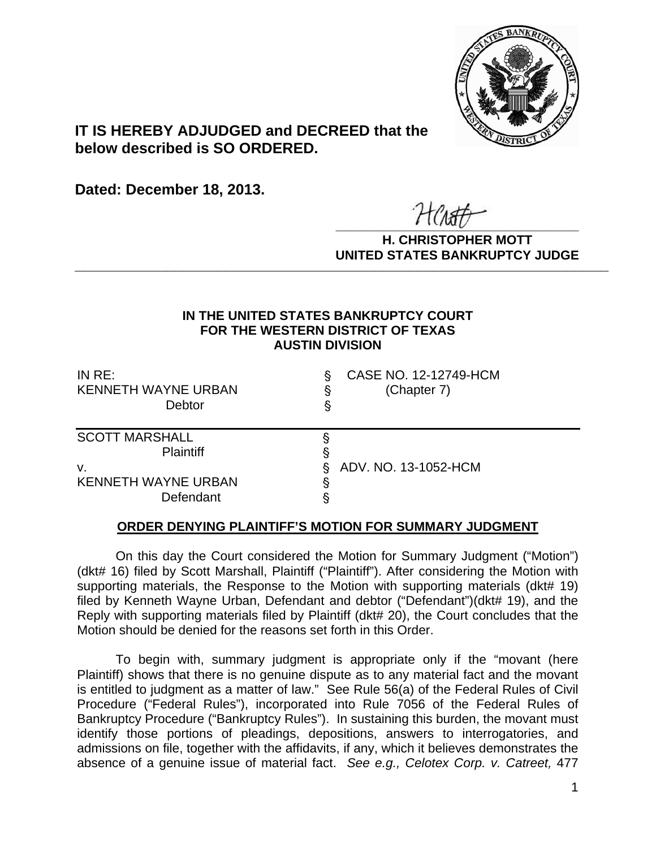

## **IT IS HEREBY ADJUDGED and DECREED that the below described is SO ORDERED.**

**Dated: December 18, 2013.**

 $\overline{r}$   $\overline{r}$   $\overline{r}$   $\overline{r}$   $\overline{r}$   $\overline{r}$   $\overline{r}$   $\overline{r}$   $\overline{r}$   $\overline{r}$   $\overline{r}$   $\overline{r}$   $\overline{r}$   $\overline{r}$   $\overline{r}$   $\overline{r}$   $\overline{r}$   $\overline{r}$   $\overline{r}$   $\overline{r}$   $\overline{r}$   $\overline{r}$   $\overline{r}$   $\overline{r}$   $\overline{$ 

**H. CHRISTOPHER MOTT UNITED STATES BANKRUPTCY JUDGE PATTED DRIVING TOT 00DCL** 

## **IN THE UNITED STATES BANKRUPTCY COURT FOR THE WESTERN DISTRICT OF TEXAS AUSTIN DIVISION**

| IN RE:<br><b>KENNETH WAYNE URBAN</b><br>Debtor | CASE NO. 12-12749-HCM<br>(Chapter 7)<br>ş |
|------------------------------------------------|-------------------------------------------|
| <b>SCOTT MARSHALL</b>                          |                                           |
| <b>Plaintiff</b>                               | §                                         |
| ν.                                             | ADV. NO. 13-1052-HCM<br>S                 |
| <b>KENNETH WAYNE URBAN</b>                     |                                           |
| Defendant                                      |                                           |

## **ORDER DENYING PLAINTIFF'S MOTION FOR SUMMARY JUDGMENT**

On this day the Court considered the Motion for Summary Judgment ("Motion") (dkt# 16) filed by Scott Marshall, Plaintiff ("Plaintiff"). After considering the Motion with supporting materials, the Response to the Motion with supporting materials (dkt# 19) filed by Kenneth Wayne Urban, Defendant and debtor ("Defendant")(dkt# 19), and the Reply with supporting materials filed by Plaintiff (dkt# 20), the Court concludes that the Motion should be denied for the reasons set forth in this Order.

To begin with, summary judgment is appropriate only if the "movant (here Plaintiff) shows that there is no genuine dispute as to any material fact and the movant is entitled to judgment as a matter of law." See Rule 56(a) of the Federal Rules of Civil Procedure ("Federal Rules"), incorporated into Rule 7056 of the Federal Rules of Bankruptcy Procedure ("Bankruptcy Rules"). In sustaining this burden, the movant must identify those portions of pleadings, depositions, answers to interrogatories, and admissions on file, together with the affidavits, if any, which it believes demonstrates the absence of a genuine issue of material fact. *See e.g., Celotex Corp. v. Catreet,* 477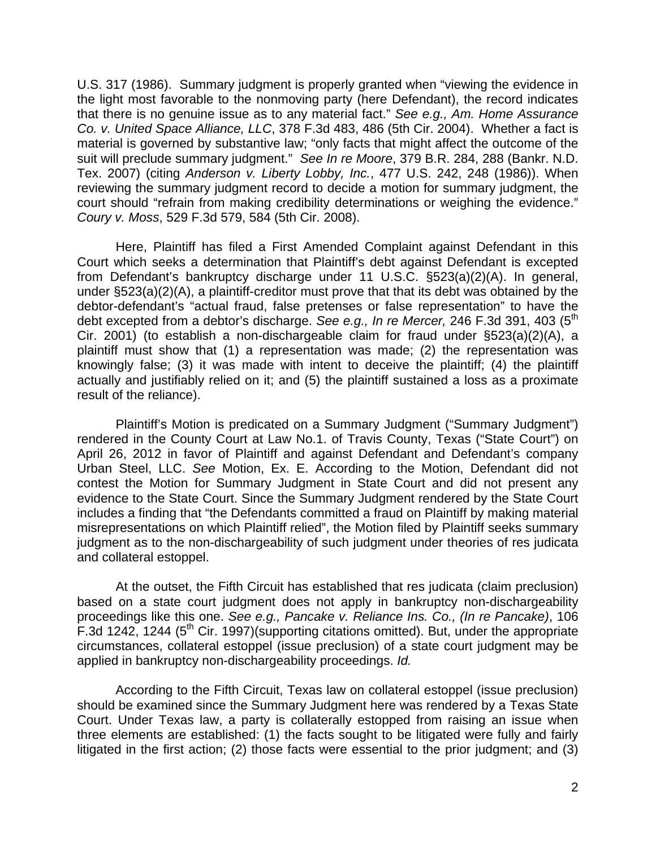U.S. 317 (1986). Summary judgment is properly granted when "viewing the evidence in the light most favorable to the nonmoving party (here Defendant), the record indicates that there is no genuine issue as to any material fact." *See e.g., Am. Home Assurance Co. v. United Space Alliance, LLC*, 378 F.3d 483, 486 (5th Cir. 2004). Whether a fact is material is governed by substantive law; "only facts that might affect the outcome of the suit will preclude summary judgment." *See In re Moore*, 379 B.R. 284, 288 (Bankr. N.D. Tex. 2007) (citing *Anderson v. Liberty Lobby, Inc.*, 477 U.S. 242, 248 (1986)). When reviewing the summary judgment record to decide a motion for summary judgment, the court should "refrain from making credibility determinations or weighing the evidence." *Coury v. Moss*, 529 F.3d 579, 584 (5th Cir. 2008).

Here, Plaintiff has filed a First Amended Complaint against Defendant in this Court which seeks a determination that Plaintiff's debt against Defendant is excepted from Defendant's bankruptcy discharge under 11 U.S.C. §523(a)(2)(A). In general, under §523(a)(2)(A), a plaintiff-creditor must prove that that its debt was obtained by the debtor-defendant's "actual fraud, false pretenses or false representation" to have the debt excepted from a debtor's discharge. *See e.g., In re Mercer*, 246 F.3d 391, 403 (5<sup>th</sup>) Cir. 2001) (to establish a non-dischargeable claim for fraud under §523(a)(2)(A), a plaintiff must show that (1) a representation was made; (2) the representation was knowingly false; (3) it was made with intent to deceive the plaintiff; (4) the plaintiff actually and justifiably relied on it; and (5) the plaintiff sustained a loss as a proximate result of the reliance).

Plaintiff's Motion is predicated on a Summary Judgment ("Summary Judgment") rendered in the County Court at Law No.1. of Travis County, Texas ("State Court") on April 26, 2012 in favor of Plaintiff and against Defendant and Defendant's company Urban Steel, LLC. *See* Motion, Ex. E. According to the Motion, Defendant did not contest the Motion for Summary Judgment in State Court and did not present any evidence to the State Court. Since the Summary Judgment rendered by the State Court includes a finding that "the Defendants committed a fraud on Plaintiff by making material misrepresentations on which Plaintiff relied", the Motion filed by Plaintiff seeks summary judgment as to the non-dischargeability of such judgment under theories of res judicata and collateral estoppel.

At the outset, the Fifth Circuit has established that res judicata (claim preclusion) based on a state court judgment does not apply in bankruptcy non-dischargeability proceedings like this one. *See e.g., Pancake v. Reliance Ins. Co., (In re Pancake)*, 106 F.3d 1242, 1244 (5th Cir. 1997)(supporting citations omitted). But, under the appropriate circumstances, collateral estoppel (issue preclusion) of a state court judgment may be applied in bankruptcy non-dischargeability proceedings. *Id.* 

According to the Fifth Circuit, Texas law on collateral estoppel (issue preclusion) should be examined since the Summary Judgment here was rendered by a Texas State Court. Under Texas law, a party is collaterally estopped from raising an issue when three elements are established: (1) the facts sought to be litigated were fully and fairly litigated in the first action; (2) those facts were essential to the prior judgment; and (3)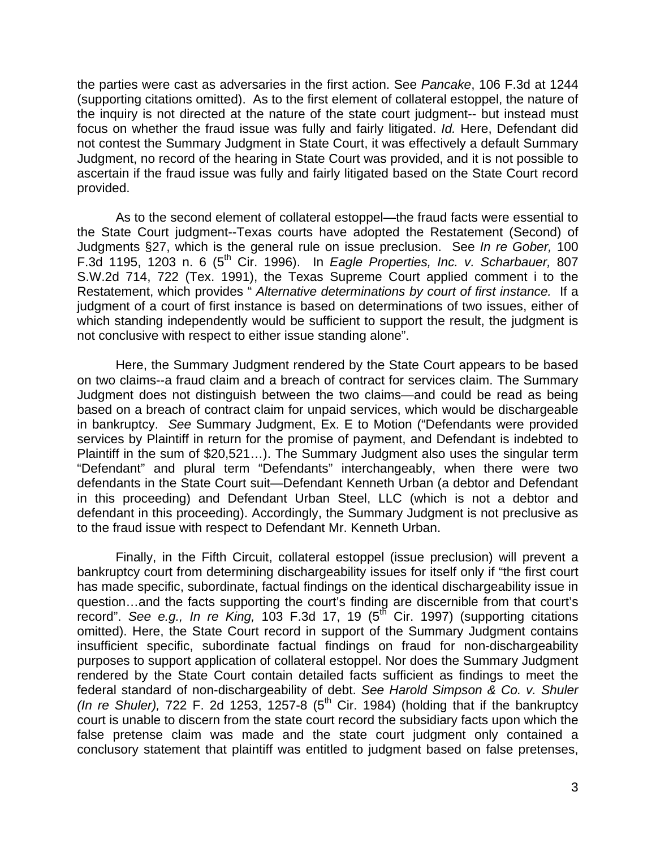the parties were cast as adversaries in the first action. See *Pancake*, 106 F.3d at 1244 (supporting citations omitted). As to the first element of collateral estoppel, the nature of the inquiry is not directed at the nature of the state court judgment-- but instead must focus on whether the fraud issue was fully and fairly litigated. *Id.* Here, Defendant did not contest the Summary Judgment in State Court, it was effectively a default Summary Judgment, no record of the hearing in State Court was provided, and it is not possible to ascertain if the fraud issue was fully and fairly litigated based on the State Court record provided.

As to the second element of collateral estoppel—the fraud facts were essential to the State Court judgment--Texas courts have adopted the Restatement (Second) of Judgments §27, which is the general rule on issue preclusion. See *In re Gober,* 100 F.3d 1195, 1203 n. 6 (5th Cir. 1996). In *Eagle Properties, Inc. v. Scharbauer,* 807 S.W.2d 714, 722 (Tex. 1991), the Texas Supreme Court applied comment i to the Restatement, which provides " *Alternative determinations by court of first instance.* If a judgment of a court of first instance is based on determinations of two issues, either of which standing independently would be sufficient to support the result, the judgment is not conclusive with respect to either issue standing alone".

Here, the Summary Judgment rendered by the State Court appears to be based on two claims--a fraud claim and a breach of contract for services claim. The Summary Judgment does not distinguish between the two claims—and could be read as being based on a breach of contract claim for unpaid services, which would be dischargeable in bankruptcy. *See* Summary Judgment, Ex. E to Motion ("Defendants were provided services by Plaintiff in return for the promise of payment, and Defendant is indebted to Plaintiff in the sum of \$20,521…). The Summary Judgment also uses the singular term "Defendant" and plural term "Defendants" interchangeably, when there were two defendants in the State Court suit—Defendant Kenneth Urban (a debtor and Defendant in this proceeding) and Defendant Urban Steel, LLC (which is not a debtor and defendant in this proceeding). Accordingly, the Summary Judgment is not preclusive as to the fraud issue with respect to Defendant Mr. Kenneth Urban.

Finally, in the Fifth Circuit, collateral estoppel (issue preclusion) will prevent a bankruptcy court from determining dischargeability issues for itself only if "the first court has made specific, subordinate, factual findings on the identical dischargeability issue in question…and the facts supporting the court's finding are discernible from that court's record". *See e.g., In re King,* 103 F.3d 17, 19 (5th Cir. 1997) (supporting citations omitted). Here, the State Court record in support of the Summary Judgment contains insufficient specific, subordinate factual findings on fraud for non-dischargeability purposes to support application of collateral estoppel. Nor does the Summary Judgment rendered by the State Court contain detailed facts sufficient as findings to meet the federal standard of non-dischargeability of debt. *See Harold Simpson & Co. v. Shuler (In re Shuler),* 722 F. 2d 1253, 1257-8 (5th Cir. 1984) (holding that if the bankruptcy court is unable to discern from the state court record the subsidiary facts upon which the false pretense claim was made and the state court judgment only contained a conclusory statement that plaintiff was entitled to judgment based on false pretenses,